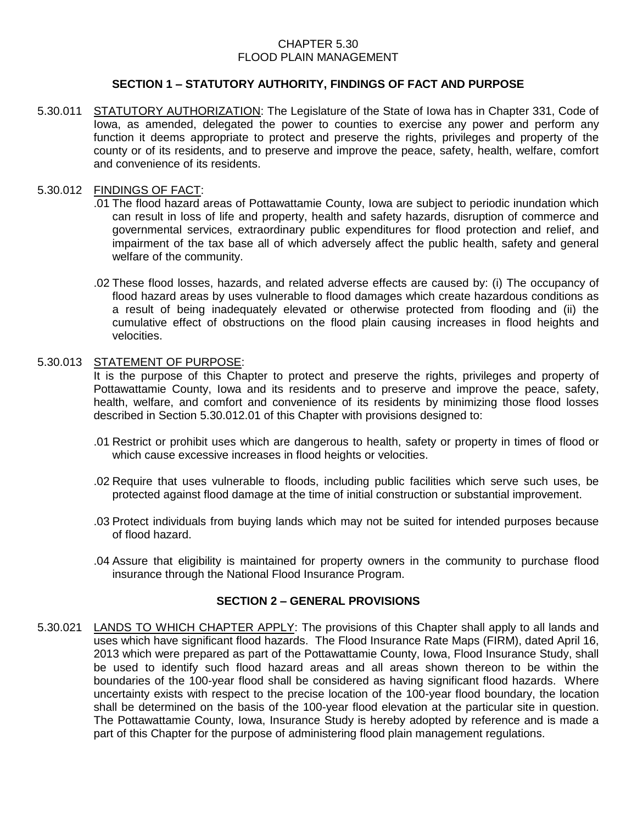#### CHAPTER 5.30 FLOOD PLAIN MANAGEMENT

## **SECTION 1 – STATUTORY AUTHORITY, FINDINGS OF FACT AND PURPOSE**

5.30.011 STATUTORY AUTHORIZATION: The Legislature of the State of Iowa has in Chapter 331, Code of Iowa, as amended, delegated the power to counties to exercise any power and perform any function it deems appropriate to protect and preserve the rights, privileges and property of the county or of its residents, and to preserve and improve the peace, safety, health, welfare, comfort and convenience of its residents.

#### 5.30.012 FINDINGS OF FACT:

- .01 The flood hazard areas of Pottawattamie County, Iowa are subject to periodic inundation which can result in loss of life and property, health and safety hazards, disruption of commerce and governmental services, extraordinary public expenditures for flood protection and relief, and impairment of the tax base all of which adversely affect the public health, safety and general welfare of the community.
- .02 These flood losses, hazards, and related adverse effects are caused by: (i) The occupancy of flood hazard areas by uses vulnerable to flood damages which create hazardous conditions as a result of being inadequately elevated or otherwise protected from flooding and (ii) the cumulative effect of obstructions on the flood plain causing increases in flood heights and velocities.

#### 5.30.013 STATEMENT OF PURPOSE:

It is the purpose of this Chapter to protect and preserve the rights, privileges and property of Pottawattamie County, Iowa and its residents and to preserve and improve the peace, safety, health, welfare, and comfort and convenience of its residents by minimizing those flood losses described in Section 5.30.012.01 of this Chapter with provisions designed to:

- .01 Restrict or prohibit uses which are dangerous to health, safety or property in times of flood or which cause excessive increases in flood heights or velocities.
- .02 Require that uses vulnerable to floods, including public facilities which serve such uses, be protected against flood damage at the time of initial construction or substantial improvement.
- .03 Protect individuals from buying lands which may not be suited for intended purposes because of flood hazard.
- .04 Assure that eligibility is maintained for property owners in the community to purchase flood insurance through the National Flood Insurance Program.

# **SECTION 2 – GENERAL PROVISIONS**

5.30.021 LANDS TO WHICH CHAPTER APPLY: The provisions of this Chapter shall apply to all lands and uses which have significant flood hazards. The Flood Insurance Rate Maps (FIRM), dated April 16, 2013 which were prepared as part of the Pottawattamie County, Iowa, Flood Insurance Study, shall be used to identify such flood hazard areas and all areas shown thereon to be within the boundaries of the 100-year flood shall be considered as having significant flood hazards. Where uncertainty exists with respect to the precise location of the 100-year flood boundary, the location shall be determined on the basis of the 100-year flood elevation at the particular site in question. The Pottawattamie County, Iowa, Insurance Study is hereby adopted by reference and is made a part of this Chapter for the purpose of administering flood plain management regulations.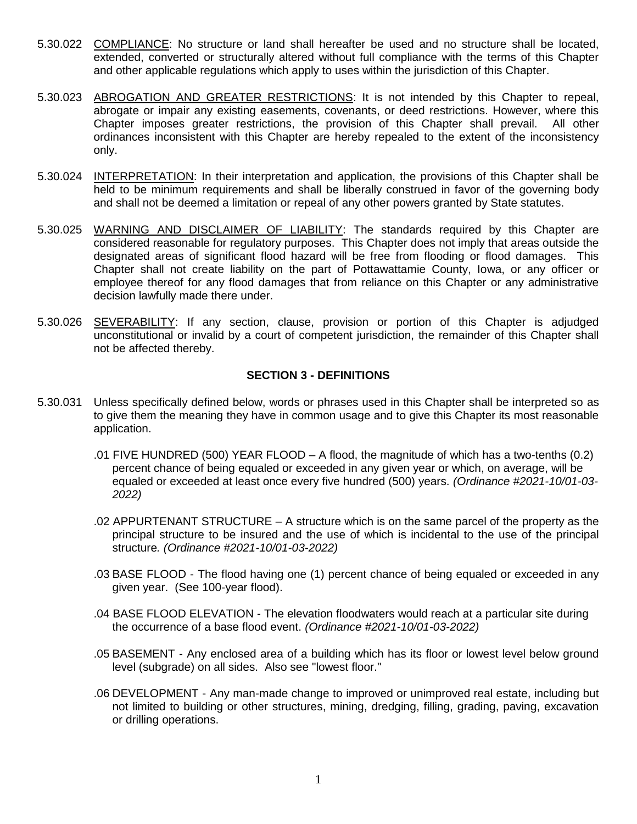- 5.30.022 COMPLIANCE: No structure or land shall hereafter be used and no structure shall be located, extended, converted or structurally altered without full compliance with the terms of this Chapter and other applicable regulations which apply to uses within the jurisdiction of this Chapter.
- 5.30.023 ABROGATION AND GREATER RESTRICTIONS: It is not intended by this Chapter to repeal, abrogate or impair any existing easements, covenants, or deed restrictions. However, where this Chapter imposes greater restrictions, the provision of this Chapter shall prevail. All other ordinances inconsistent with this Chapter are hereby repealed to the extent of the inconsistency only.
- 5.30.024 INTERPRETATION: In their interpretation and application, the provisions of this Chapter shall be held to be minimum requirements and shall be liberally construed in favor of the governing body and shall not be deemed a limitation or repeal of any other powers granted by State statutes.
- 5.30.025 WARNING AND DISCLAIMER OF LIABILITY: The standards required by this Chapter are considered reasonable for regulatory purposes. This Chapter does not imply that areas outside the designated areas of significant flood hazard will be free from flooding or flood damages. This Chapter shall not create liability on the part of Pottawattamie County, Iowa, or any officer or employee thereof for any flood damages that from reliance on this Chapter or any administrative decision lawfully made there under.
- 5.30.026 SEVERABILITY: If any section, clause, provision or portion of this Chapter is adjudged unconstitutional or invalid by a court of competent jurisdiction, the remainder of this Chapter shall not be affected thereby.

# **SECTION 3 - DEFINITIONS**

- 5.30.031 Unless specifically defined below, words or phrases used in this Chapter shall be interpreted so as to give them the meaning they have in common usage and to give this Chapter its most reasonable application.
	- .01 FIVE HUNDRED (500) YEAR FLOOD A flood, the magnitude of which has a two-tenths (0.2) percent chance of being equaled or exceeded in any given year or which, on average, will be equaled or exceeded at least once every five hundred (500) years. *(Ordinance #2021-10/01-03- 2022)*
	- .02 APPURTENANT STRUCTURE A structure which is on the same parcel of the property as the principal structure to be insured and the use of which is incidental to the use of the principal structure*. (Ordinance #2021-10/01-03-2022)*
	- .03 BASE FLOOD The flood having one (1) percent chance of being equaled or exceeded in any given year. (See 100-year flood).
	- .04 BASE FLOOD ELEVATION The elevation floodwaters would reach at a particular site during the occurrence of a base flood event. *(Ordinance #2021-10/01-03-2022)*
	- .05 BASEMENT Any enclosed area of a building which has its floor or lowest level below ground level (subgrade) on all sides. Also see "lowest floor."
	- .06 DEVELOPMENT Any man-made change to improved or unimproved real estate, including but not limited to building or other structures, mining, dredging, filling, grading, paving, excavation or drilling operations.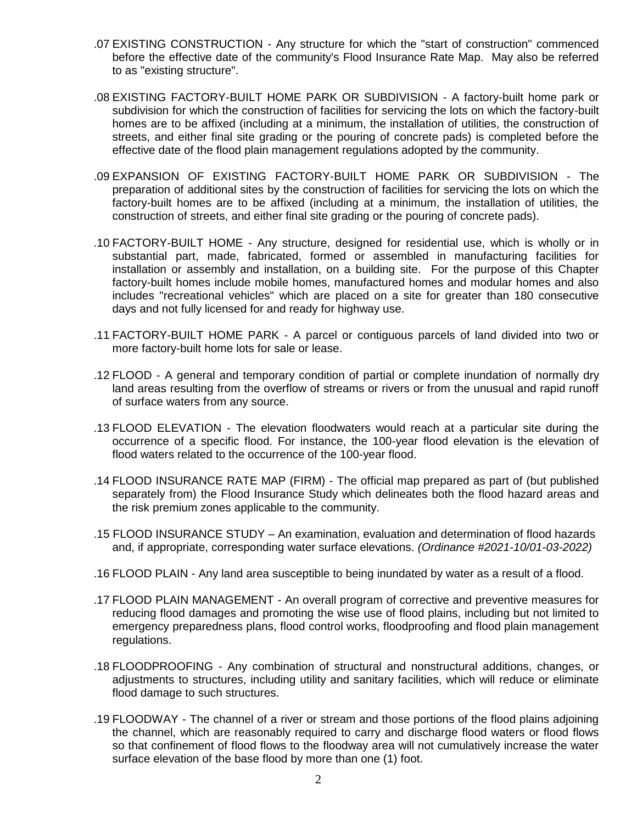- .07 EXISTING CONSTRUCTION Any structure for which the "start of construction" commenced before the effective date of the community's Flood Insurance Rate Map. May also be referred to as "existing structure".
- .08 EXISTING FACTORY-BUILT HOME PARK OR SUBDIVISION A factory-built home park or subdivision for which the construction of facilities for servicing the lots on which the factory-built homes are to be affixed (including at a minimum, the installation of utilities, the construction of streets, and either final site grading or the pouring of concrete pads) is completed before the effective date of the flood plain management regulations adopted by the community.
- .09 EXPANSION OF EXISTING FACTORY-BUILT HOME PARK OR SUBDIVISION The preparation of additional sites by the construction of facilities for servicing the lots on which the factory-built homes are to be affixed (including at a minimum, the installation of utilities, the construction of streets, and either final site grading or the pouring of concrete pads).
- .10 FACTORY-BUILT HOME Any structure, designed for residential use, which is wholly or in substantial part, made, fabricated, formed or assembled in manufacturing facilities for installation or assembly and installation, on a building site. For the purpose of this Chapter factory-built homes include mobile homes, manufactured homes and modular homes and also includes "recreational vehicles" which are placed on a site for greater than 180 consecutive days and not fully licensed for and ready for highway use.
- .11 FACTORY-BUILT HOME PARK A parcel or contiguous parcels of land divided into two or more factory-built home lots for sale or lease.
- .12 FLOOD A general and temporary condition of partial or complete inundation of normally dry land areas resulting from the overflow of streams or rivers or from the unusual and rapid runoff of surface waters from any source.
- .13 FLOOD ELEVATION The elevation floodwaters would reach at a particular site during the occurrence of a specific flood. For instance, the 100-year flood elevation is the elevation of flood waters related to the occurrence of the 100-year flood.
- .14 FLOOD INSURANCE RATE MAP (FIRM) The official map prepared as part of (but published separately from) the Flood Insurance Study which delineates both the flood hazard areas and the risk premium zones applicable to the community.
- .15 FLOOD INSURANCE STUDY An examination, evaluation and determination of flood hazards and, if appropriate, corresponding water surface elevations. *(Ordinance #2021-10/01-03-2022)*
- .16 FLOOD PLAIN Any land area susceptible to being inundated by water as a result of a flood.
- .17 FLOOD PLAIN MANAGEMENT An overall program of corrective and preventive measures for reducing flood damages and promoting the wise use of flood plains, including but not limited to emergency preparedness plans, flood control works, floodproofing and flood plain management regulations.
- .18 FLOODPROOFING Any combination of structural and nonstructural additions, changes, or adjustments to structures, including utility and sanitary facilities, which will reduce or eliminate flood damage to such structures.
- .19 FLOODWAY The channel of a river or stream and those portions of the flood plains adjoining the channel, which are reasonably required to carry and discharge flood waters or flood flows so that confinement of flood flows to the floodway area will not cumulatively increase the water surface elevation of the base flood by more than one (1) foot.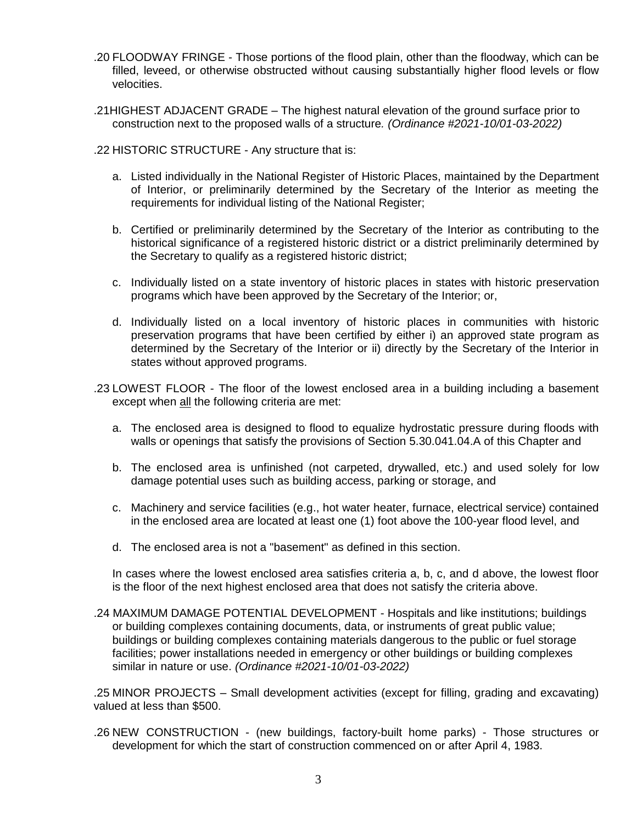- .20 FLOODWAY FRINGE Those portions of the flood plain, other than the floodway, which can be filled, leveed, or otherwise obstructed without causing substantially higher flood levels or flow velocities.
- .21HIGHEST ADJACENT GRADE The highest natural elevation of the ground surface prior to construction next to the proposed walls of a structure*. (Ordinance #2021-10/01-03-2022)*

.22 HISTORIC STRUCTURE - Any structure that is:

- a. Listed individually in the National Register of Historic Places, maintained by the Department of Interior, or preliminarily determined by the Secretary of the Interior as meeting the requirements for individual listing of the National Register;
- b. Certified or preliminarily determined by the Secretary of the Interior as contributing to the historical significance of a registered historic district or a district preliminarily determined by the Secretary to qualify as a registered historic district;
- c. Individually listed on a state inventory of historic places in states with historic preservation programs which have been approved by the Secretary of the Interior; or,
- d. Individually listed on a local inventory of historic places in communities with historic preservation programs that have been certified by either i) an approved state program as determined by the Secretary of the Interior or ii) directly by the Secretary of the Interior in states without approved programs.
- .23 LOWEST FLOOR The floor of the lowest enclosed area in a building including a basement except when all the following criteria are met:
	- a. The enclosed area is designed to flood to equalize hydrostatic pressure during floods with walls or openings that satisfy the provisions of Section 5.30.041.04.A of this Chapter and
	- b. The enclosed area is unfinished (not carpeted, drywalled, etc.) and used solely for low damage potential uses such as building access, parking or storage, and
	- c. Machinery and service facilities (e.g., hot water heater, furnace, electrical service) contained in the enclosed area are located at least one (1) foot above the 100-year flood level, and
	- d. The enclosed area is not a "basement" as defined in this section.

In cases where the lowest enclosed area satisfies criteria a, b, c, and d above, the lowest floor is the floor of the next highest enclosed area that does not satisfy the criteria above.

.24 MAXIMUM DAMAGE POTENTIAL DEVELOPMENT - Hospitals and like institutions; buildings or building complexes containing documents, data, or instruments of great public value; buildings or building complexes containing materials dangerous to the public or fuel storage facilities; power installations needed in emergency or other buildings or building complexes similar in nature or use. *(Ordinance #2021-10/01-03-2022)*

.25 MINOR PROJECTS – Small development activities (except for filling, grading and excavating) valued at less than \$500.

.26 NEW CONSTRUCTION - (new buildings, factory-built home parks) - Those structures or development for which the start of construction commenced on or after April 4, 1983.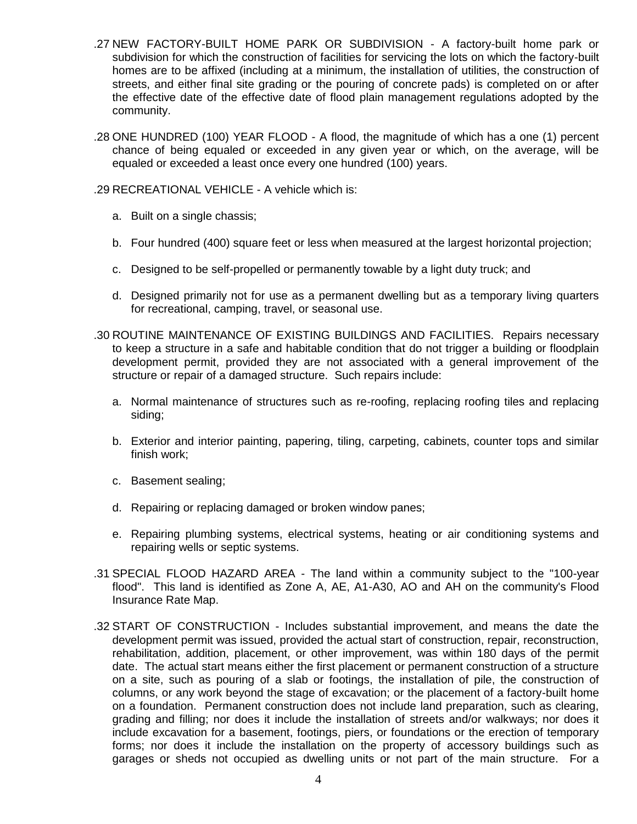- .27 NEW FACTORY-BUILT HOME PARK OR SUBDIVISION A factory-built home park or subdivision for which the construction of facilities for servicing the lots on which the factory-built homes are to be affixed (including at a minimum, the installation of utilities, the construction of streets, and either final site grading or the pouring of concrete pads) is completed on or after the effective date of the effective date of flood plain management regulations adopted by the community.
- .28 ONE HUNDRED (100) YEAR FLOOD A flood, the magnitude of which has a one (1) percent chance of being equaled or exceeded in any given year or which, on the average, will be equaled or exceeded a least once every one hundred (100) years.

.29 RECREATIONAL VEHICLE - A vehicle which is:

- a. Built on a single chassis;
- b. Four hundred (400) square feet or less when measured at the largest horizontal projection;
- c. Designed to be self-propelled or permanently towable by a light duty truck; and
- d. Designed primarily not for use as a permanent dwelling but as a temporary living quarters for recreational, camping, travel, or seasonal use.
- .30 ROUTINE MAINTENANCE OF EXISTING BUILDINGS AND FACILITIES. Repairs necessary to keep a structure in a safe and habitable condition that do not trigger a building or floodplain development permit, provided they are not associated with a general improvement of the structure or repair of a damaged structure. Such repairs include:
	- a. Normal maintenance of structures such as re-roofing, replacing roofing tiles and replacing siding;
	- b. Exterior and interior painting, papering, tiling, carpeting, cabinets, counter tops and similar finish work;
	- c. Basement sealing;
	- d. Repairing or replacing damaged or broken window panes;
	- e. Repairing plumbing systems, electrical systems, heating or air conditioning systems and repairing wells or septic systems.
- .31 SPECIAL FLOOD HAZARD AREA The land within a community subject to the "100-year flood". This land is identified as Zone A, AE, A1-A30, AO and AH on the community's Flood Insurance Rate Map.
- .32 START OF CONSTRUCTION Includes substantial improvement, and means the date the development permit was issued, provided the actual start of construction, repair, reconstruction, rehabilitation, addition, placement, or other improvement, was within 180 days of the permit date. The actual start means either the first placement or permanent construction of a structure on a site, such as pouring of a slab or footings, the installation of pile, the construction of columns, or any work beyond the stage of excavation; or the placement of a factory-built home on a foundation. Permanent construction does not include land preparation, such as clearing, grading and filling; nor does it include the installation of streets and/or walkways; nor does it include excavation for a basement, footings, piers, or foundations or the erection of temporary forms; nor does it include the installation on the property of accessory buildings such as garages or sheds not occupied as dwelling units or not part of the main structure. For a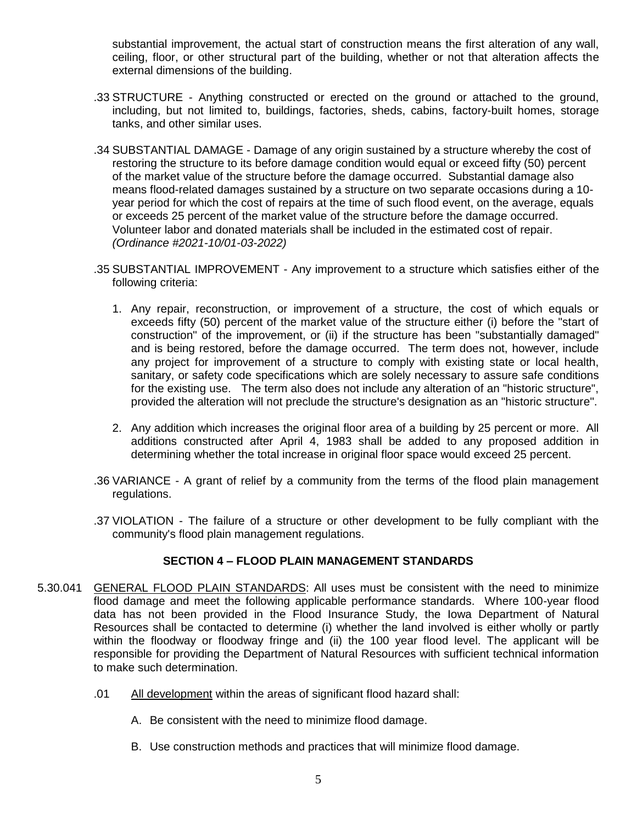substantial improvement, the actual start of construction means the first alteration of any wall, ceiling, floor, or other structural part of the building, whether or not that alteration affects the external dimensions of the building.

- .33 STRUCTURE Anything constructed or erected on the ground or attached to the ground, including, but not limited to, buildings, factories, sheds, cabins, factory-built homes, storage tanks, and other similar uses.
- .34 SUBSTANTIAL DAMAGE Damage of any origin sustained by a structure whereby the cost of restoring the structure to its before damage condition would equal or exceed fifty (50) percent of the market value of the structure before the damage occurred. Substantial damage also means flood-related damages sustained by a structure on two separate occasions during a 10 year period for which the cost of repairs at the time of such flood event, on the average, equals or exceeds 25 percent of the market value of the structure before the damage occurred. Volunteer labor and donated materials shall be included in the estimated cost of repair. *(Ordinance #2021-10/01-03-2022)*
- .35 SUBSTANTIAL IMPROVEMENT Any improvement to a structure which satisfies either of the following criteria:
	- 1. Any repair, reconstruction, or improvement of a structure, the cost of which equals or exceeds fifty (50) percent of the market value of the structure either (i) before the "start of construction" of the improvement, or (ii) if the structure has been "substantially damaged" and is being restored, before the damage occurred. The term does not, however, include any project for improvement of a structure to comply with existing state or local health, sanitary, or safety code specifications which are solely necessary to assure safe conditions for the existing use. The term also does not include any alteration of an "historic structure", provided the alteration will not preclude the structure's designation as an "historic structure".
	- 2. Any addition which increases the original floor area of a building by 25 percent or more. All additions constructed after April 4, 1983 shall be added to any proposed addition in determining whether the total increase in original floor space would exceed 25 percent.
- .36 VARIANCE A grant of relief by a community from the terms of the flood plain management regulations.
- .37 VIOLATION The failure of a structure or other development to be fully compliant with the community's flood plain management regulations.

# **SECTION 4 – FLOOD PLAIN MANAGEMENT STANDARDS**

- 5.30.041 GENERAL FLOOD PLAIN STANDARDS: All uses must be consistent with the need to minimize flood damage and meet the following applicable performance standards. Where 100-year flood data has not been provided in the Flood Insurance Study, the Iowa Department of Natural Resources shall be contacted to determine (i) whether the land involved is either wholly or partly within the floodway or floodway fringe and (ii) the 100 year flood level. The applicant will be responsible for providing the Department of Natural Resources with sufficient technical information to make such determination.
	- .01 All development within the areas of significant flood hazard shall:
		- A. Be consistent with the need to minimize flood damage.
		- B. Use construction methods and practices that will minimize flood damage.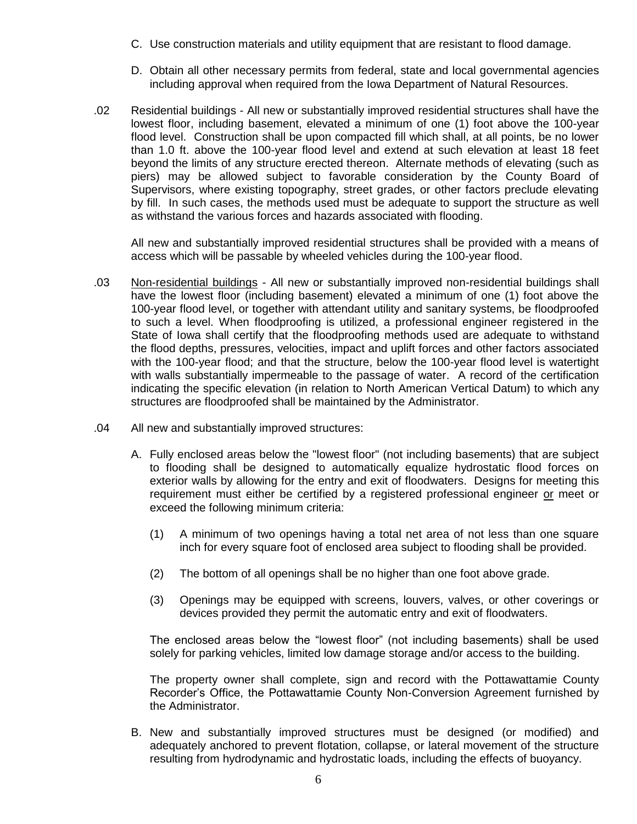- C. Use construction materials and utility equipment that are resistant to flood damage.
- D. Obtain all other necessary permits from federal, state and local governmental agencies including approval when required from the Iowa Department of Natural Resources.
- .02 Residential buildings All new or substantially improved residential structures shall have the lowest floor, including basement, elevated a minimum of one (1) foot above the 100-year flood level. Construction shall be upon compacted fill which shall, at all points, be no lower than 1.0 ft. above the 100-year flood level and extend at such elevation at least 18 feet beyond the limits of any structure erected thereon. Alternate methods of elevating (such as piers) may be allowed subject to favorable consideration by the County Board of Supervisors, where existing topography, street grades, or other factors preclude elevating by fill. In such cases, the methods used must be adequate to support the structure as well as withstand the various forces and hazards associated with flooding.

All new and substantially improved residential structures shall be provided with a means of access which will be passable by wheeled vehicles during the 100-year flood.

- .03 Non-residential buildings All new or substantially improved non-residential buildings shall have the lowest floor (including basement) elevated a minimum of one (1) foot above the 100-year flood level, or together with attendant utility and sanitary systems, be floodproofed to such a level. When floodproofing is utilized, a professional engineer registered in the State of Iowa shall certify that the floodproofing methods used are adequate to withstand the flood depths, pressures, velocities, impact and uplift forces and other factors associated with the 100-year flood; and that the structure, below the 100-year flood level is watertight with walls substantially impermeable to the passage of water. A record of the certification indicating the specific elevation (in relation to North American Vertical Datum) to which any structures are floodproofed shall be maintained by the Administrator.
- .04 All new and substantially improved structures:
	- A. Fully enclosed areas below the "lowest floor" (not including basements) that are subject to flooding shall be designed to automatically equalize hydrostatic flood forces on exterior walls by allowing for the entry and exit of floodwaters. Designs for meeting this requirement must either be certified by a registered professional engineer or meet or exceed the following minimum criteria:
		- (1) A minimum of two openings having a total net area of not less than one square inch for every square foot of enclosed area subject to flooding shall be provided.
		- (2) The bottom of all openings shall be no higher than one foot above grade.
		- (3) Openings may be equipped with screens, louvers, valves, or other coverings or devices provided they permit the automatic entry and exit of floodwaters.

The enclosed areas below the "lowest floor" (not including basements) shall be used solely for parking vehicles, limited low damage storage and/or access to the building.

The property owner shall complete, sign and record with the Pottawattamie County Recorder's Office, the Pottawattamie County Non-Conversion Agreement furnished by the Administrator.

B. New and substantially improved structures must be designed (or modified) and adequately anchored to prevent flotation, collapse, or lateral movement of the structure resulting from hydrodynamic and hydrostatic loads, including the effects of buoyancy.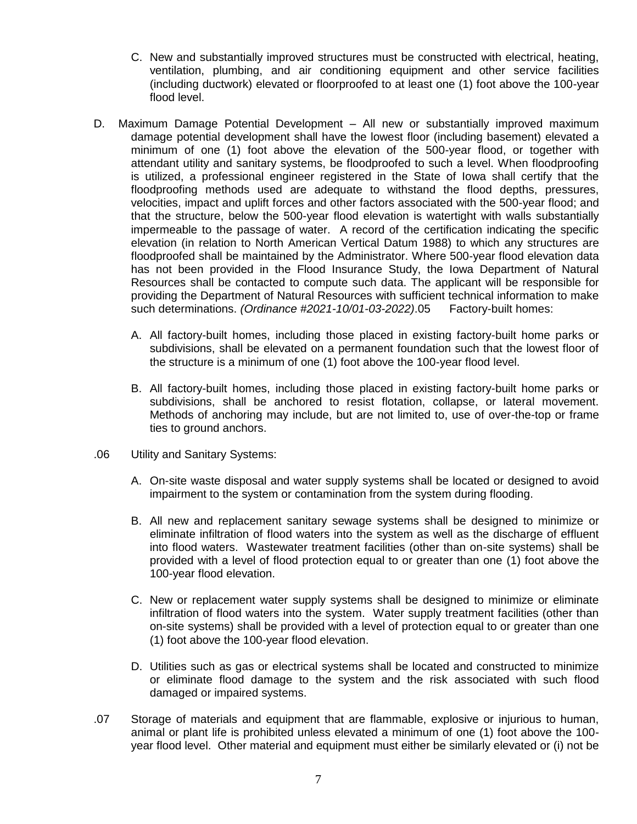- C. New and substantially improved structures must be constructed with electrical, heating, ventilation, plumbing, and air conditioning equipment and other service facilities (including ductwork) elevated or floorproofed to at least one (1) foot above the 100-year flood level.
- D. Maximum Damage Potential Development All new or substantially improved maximum damage potential development shall have the lowest floor (including basement) elevated a minimum of one (1) foot above the elevation of the 500-year flood, or together with attendant utility and sanitary systems, be floodproofed to such a level. When floodproofing is utilized, a professional engineer registered in the State of Iowa shall certify that the floodproofing methods used are adequate to withstand the flood depths, pressures, velocities, impact and uplift forces and other factors associated with the 500-year flood; and that the structure, below the 500-year flood elevation is watertight with walls substantially impermeable to the passage of water. A record of the certification indicating the specific elevation (in relation to North American Vertical Datum 1988) to which any structures are floodproofed shall be maintained by the Administrator. Where 500-year flood elevation data has not been provided in the Flood Insurance Study, the Iowa Department of Natural Resources shall be contacted to compute such data. The applicant will be responsible for providing the Department of Natural Resources with sufficient technical information to make such determinations. *(Ordinance #2021-10/01-03-2022)*.05 Factory-built homes:
	- A. All factory-built homes, including those placed in existing factory-built home parks or subdivisions, shall be elevated on a permanent foundation such that the lowest floor of the structure is a minimum of one (1) foot above the 100-year flood level.
	- B. All factory-built homes, including those placed in existing factory-built home parks or subdivisions, shall be anchored to resist flotation, collapse, or lateral movement. Methods of anchoring may include, but are not limited to, use of over-the-top or frame ties to ground anchors.
- .06 Utility and Sanitary Systems:
	- A. On-site waste disposal and water supply systems shall be located or designed to avoid impairment to the system or contamination from the system during flooding.
	- B. All new and replacement sanitary sewage systems shall be designed to minimize or eliminate infiltration of flood waters into the system as well as the discharge of effluent into flood waters. Wastewater treatment facilities (other than on-site systems) shall be provided with a level of flood protection equal to or greater than one (1) foot above the 100-year flood elevation.
	- C. New or replacement water supply systems shall be designed to minimize or eliminate infiltration of flood waters into the system. Water supply treatment facilities (other than on-site systems) shall be provided with a level of protection equal to or greater than one (1) foot above the 100-year flood elevation.
	- D. Utilities such as gas or electrical systems shall be located and constructed to minimize or eliminate flood damage to the system and the risk associated with such flood damaged or impaired systems.
- .07 Storage of materials and equipment that are flammable, explosive or injurious to human, animal or plant life is prohibited unless elevated a minimum of one (1) foot above the 100 year flood level. Other material and equipment must either be similarly elevated or (i) not be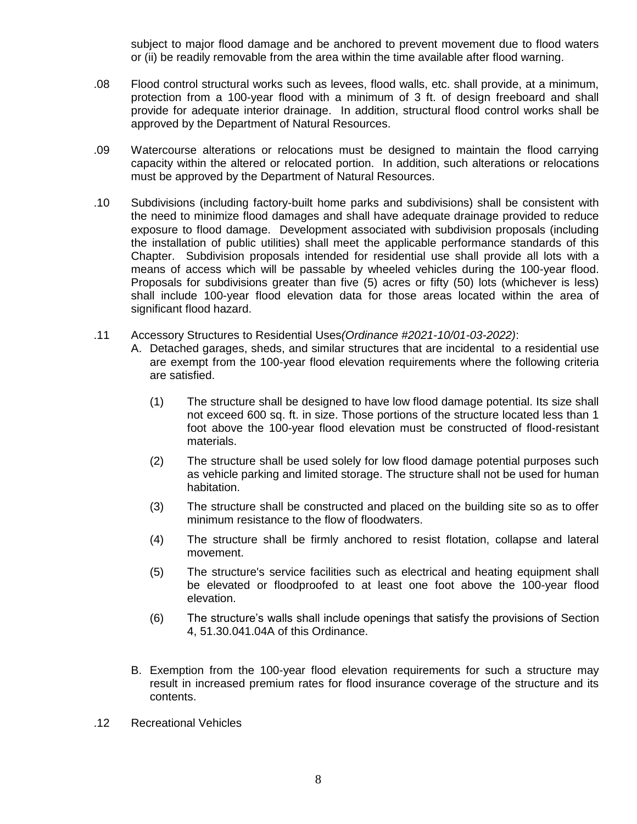subject to major flood damage and be anchored to prevent movement due to flood waters or (ii) be readily removable from the area within the time available after flood warning.

- .08 Flood control structural works such as levees, flood walls, etc. shall provide, at a minimum, protection from a 100-year flood with a minimum of 3 ft. of design freeboard and shall provide for adequate interior drainage. In addition, structural flood control works shall be approved by the Department of Natural Resources.
- .09 Watercourse alterations or relocations must be designed to maintain the flood carrying capacity within the altered or relocated portion. In addition, such alterations or relocations must be approved by the Department of Natural Resources.
- .10 Subdivisions (including factory-built home parks and subdivisions) shall be consistent with the need to minimize flood damages and shall have adequate drainage provided to reduce exposure to flood damage. Development associated with subdivision proposals (including the installation of public utilities) shall meet the applicable performance standards of this Chapter. Subdivision proposals intended for residential use shall provide all lots with a means of access which will be passable by wheeled vehicles during the 100-year flood. Proposals for subdivisions greater than five (5) acres or fifty (50) lots (whichever is less) shall include 100-year flood elevation data for those areas located within the area of significant flood hazard.
- .11 Accessory Structures to Residential Uses*(Ordinance #2021-10/01-03-2022)*:
	- A. Detached garages, sheds, and similar structures that are incidental to a residential use are exempt from the 100-year flood elevation requirements where the following criteria are satisfied.
		- (1) The structure shall be designed to have low flood damage potential. Its size shall not exceed 600 sq. ft. in size. Those portions of the structure located less than 1 foot above the 100-year flood elevation must be constructed of flood-resistant materials.
		- (2) The structure shall be used solely for low flood damage potential purposes such as vehicle parking and limited storage. The structure shall not be used for human habitation.
		- (3) The structure shall be constructed and placed on the building site so as to offer minimum resistance to the flow of floodwaters.
		- (4) The structure shall be firmly anchored to resist flotation, collapse and lateral movement.
		- (5) The structure's service facilities such as electrical and heating equipment shall be elevated or floodproofed to at least one foot above the 100-year flood elevation.
		- (6) The structure's walls shall include openings that satisfy the provisions of Section 4, 51.30.041.04A of this Ordinance.
	- B. Exemption from the 100-year flood elevation requirements for such a structure may result in increased premium rates for flood insurance coverage of the structure and its contents.
- .12 Recreational Vehicles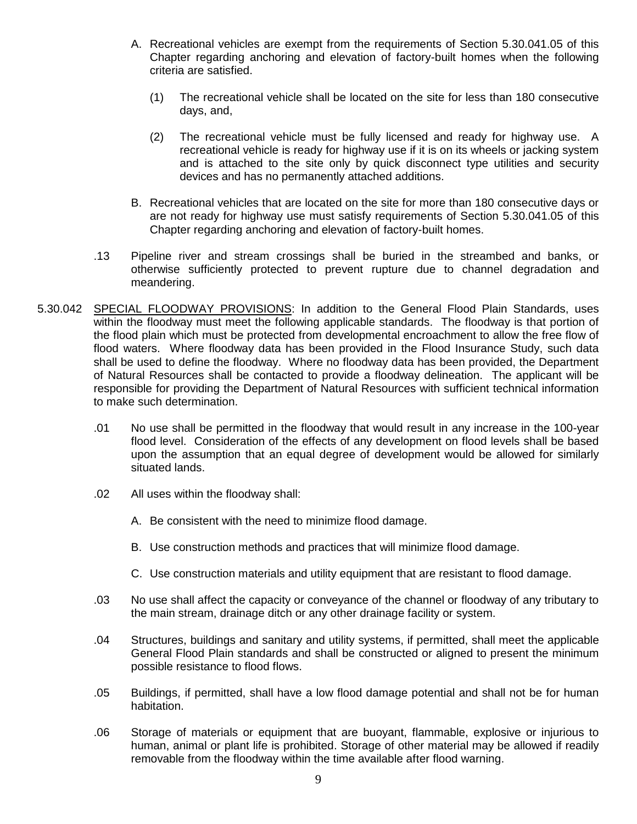- A. Recreational vehicles are exempt from the requirements of Section 5.30.041.05 of this Chapter regarding anchoring and elevation of factory-built homes when the following criteria are satisfied.
	- (1) The recreational vehicle shall be located on the site for less than 180 consecutive days, and,
	- (2) The recreational vehicle must be fully licensed and ready for highway use. A recreational vehicle is ready for highway use if it is on its wheels or jacking system and is attached to the site only by quick disconnect type utilities and security devices and has no permanently attached additions.
- B. Recreational vehicles that are located on the site for more than 180 consecutive days or are not ready for highway use must satisfy requirements of Section 5.30.041.05 of this Chapter regarding anchoring and elevation of factory-built homes.
- .13 Pipeline river and stream crossings shall be buried in the streambed and banks, or otherwise sufficiently protected to prevent rupture due to channel degradation and meandering.
- 5.30.042 SPECIAL FLOODWAY PROVISIONS: In addition to the General Flood Plain Standards, uses within the floodway must meet the following applicable standards. The floodway is that portion of the flood plain which must be protected from developmental encroachment to allow the free flow of flood waters. Where floodway data has been provided in the Flood Insurance Study, such data shall be used to define the floodway. Where no floodway data has been provided, the Department of Natural Resources shall be contacted to provide a floodway delineation. The applicant will be responsible for providing the Department of Natural Resources with sufficient technical information to make such determination.
	- .01 No use shall be permitted in the floodway that would result in any increase in the 100-year flood level. Consideration of the effects of any development on flood levels shall be based upon the assumption that an equal degree of development would be allowed for similarly situated lands.
	- .02 All uses within the floodway shall:
		- A. Be consistent with the need to minimize flood damage.
		- B. Use construction methods and practices that will minimize flood damage.
		- C. Use construction materials and utility equipment that are resistant to flood damage.
	- .03 No use shall affect the capacity or conveyance of the channel or floodway of any tributary to the main stream, drainage ditch or any other drainage facility or system.
	- .04 Structures, buildings and sanitary and utility systems, if permitted, shall meet the applicable General Flood Plain standards and shall be constructed or aligned to present the minimum possible resistance to flood flows.
	- .05 Buildings, if permitted, shall have a low flood damage potential and shall not be for human habitation.
	- .06 Storage of materials or equipment that are buoyant, flammable, explosive or injurious to human, animal or plant life is prohibited. Storage of other material may be allowed if readily removable from the floodway within the time available after flood warning.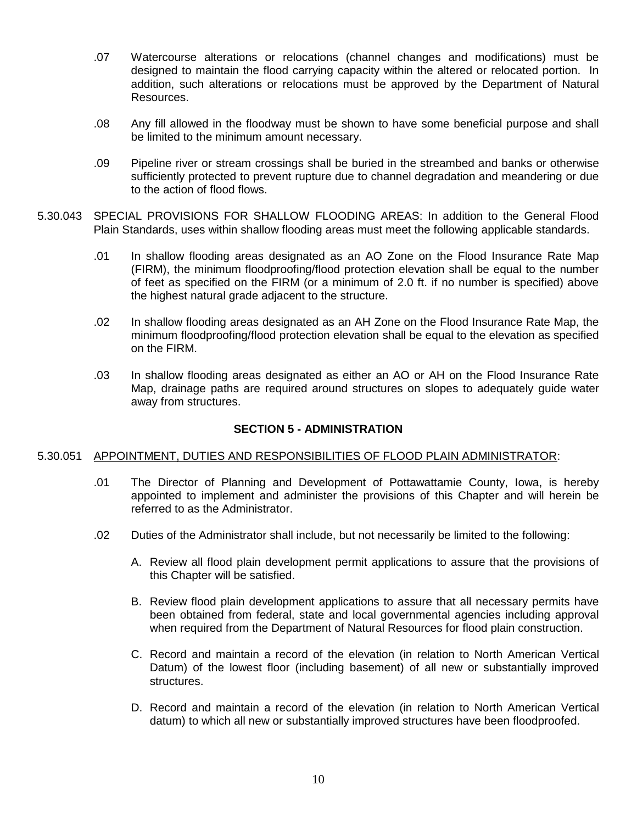- .07 Watercourse alterations or relocations (channel changes and modifications) must be designed to maintain the flood carrying capacity within the altered or relocated portion. In addition, such alterations or relocations must be approved by the Department of Natural Resources.
- .08 Any fill allowed in the floodway must be shown to have some beneficial purpose and shall be limited to the minimum amount necessary.
- .09 Pipeline river or stream crossings shall be buried in the streambed and banks or otherwise sufficiently protected to prevent rupture due to channel degradation and meandering or due to the action of flood flows.
- 5.30.043 SPECIAL PROVISIONS FOR SHALLOW FLOODING AREAS: In addition to the General Flood Plain Standards, uses within shallow flooding areas must meet the following applicable standards.
	- .01 In shallow flooding areas designated as an AO Zone on the Flood Insurance Rate Map (FIRM), the minimum floodproofing/flood protection elevation shall be equal to the number of feet as specified on the FIRM (or a minimum of 2.0 ft. if no number is specified) above the highest natural grade adjacent to the structure.
	- .02 In shallow flooding areas designated as an AH Zone on the Flood Insurance Rate Map, the minimum floodproofing/flood protection elevation shall be equal to the elevation as specified on the FIRM.
	- .03 In shallow flooding areas designated as either an AO or AH on the Flood Insurance Rate Map, drainage paths are required around structures on slopes to adequately guide water away from structures.

# **SECTION 5 - ADMINISTRATION**

#### 5.30.051 APPOINTMENT, DUTIES AND RESPONSIBILITIES OF FLOOD PLAIN ADMINISTRATOR:

- .01 The Director of Planning and Development of Pottawattamie County, Iowa, is hereby appointed to implement and administer the provisions of this Chapter and will herein be referred to as the Administrator.
- .02 Duties of the Administrator shall include, but not necessarily be limited to the following:
	- A. Review all flood plain development permit applications to assure that the provisions of this Chapter will be satisfied.
	- B. Review flood plain development applications to assure that all necessary permits have been obtained from federal, state and local governmental agencies including approval when required from the Department of Natural Resources for flood plain construction.
	- C. Record and maintain a record of the elevation (in relation to North American Vertical Datum) of the lowest floor (including basement) of all new or substantially improved structures.
	- D. Record and maintain a record of the elevation (in relation to North American Vertical datum) to which all new or substantially improved structures have been floodproofed.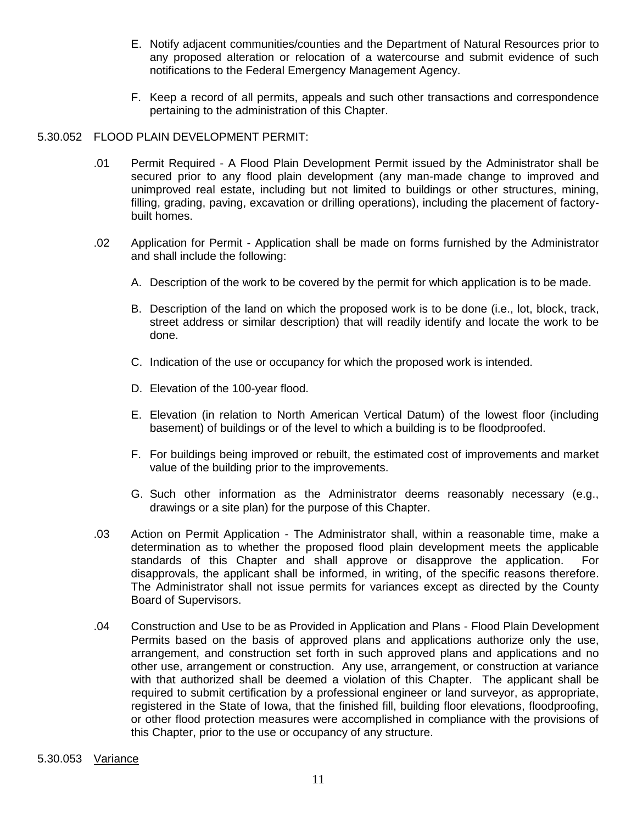- E. Notify adjacent communities/counties and the Department of Natural Resources prior to any proposed alteration or relocation of a watercourse and submit evidence of such notifications to the Federal Emergency Management Agency.
- F. Keep a record of all permits, appeals and such other transactions and correspondence pertaining to the administration of this Chapter.

#### 5.30.052 FLOOD PLAIN DEVELOPMENT PERMIT:

- .01 Permit Required A Flood Plain Development Permit issued by the Administrator shall be secured prior to any flood plain development (any man-made change to improved and unimproved real estate, including but not limited to buildings or other structures, mining, filling, grading, paving, excavation or drilling operations), including the placement of factorybuilt homes.
- .02 Application for Permit Application shall be made on forms furnished by the Administrator and shall include the following:
	- A. Description of the work to be covered by the permit for which application is to be made.
	- B. Description of the land on which the proposed work is to be done (i.e., lot, block, track, street address or similar description) that will readily identify and locate the work to be done.
	- C. Indication of the use or occupancy for which the proposed work is intended.
	- D. Elevation of the 100-year flood.
	- E. Elevation (in relation to North American Vertical Datum) of the lowest floor (including basement) of buildings or of the level to which a building is to be floodproofed.
	- F. For buildings being improved or rebuilt, the estimated cost of improvements and market value of the building prior to the improvements.
	- G. Such other information as the Administrator deems reasonably necessary (e.g., drawings or a site plan) for the purpose of this Chapter.
- .03 Action on Permit Application The Administrator shall, within a reasonable time, make a determination as to whether the proposed flood plain development meets the applicable standards of this Chapter and shall approve or disapprove the application. For disapprovals, the applicant shall be informed, in writing, of the specific reasons therefore. The Administrator shall not issue permits for variances except as directed by the County Board of Supervisors.
- .04 Construction and Use to be as Provided in Application and Plans Flood Plain Development Permits based on the basis of approved plans and applications authorize only the use, arrangement, and construction set forth in such approved plans and applications and no other use, arrangement or construction. Any use, arrangement, or construction at variance with that authorized shall be deemed a violation of this Chapter. The applicant shall be required to submit certification by a professional engineer or land surveyor, as appropriate, registered in the State of Iowa, that the finished fill, building floor elevations, floodproofing, or other flood protection measures were accomplished in compliance with the provisions of this Chapter, prior to the use or occupancy of any structure.

#### 5.30.053 Variance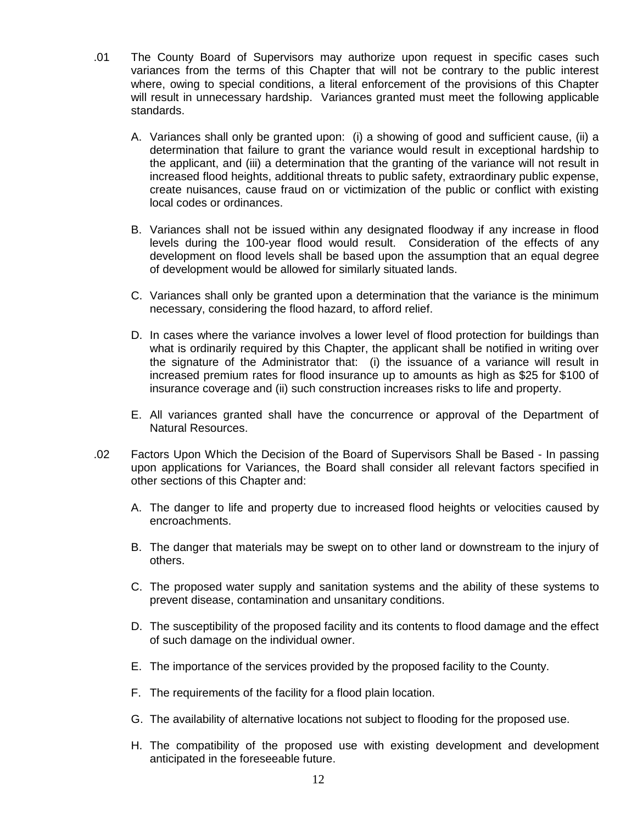- .01 The County Board of Supervisors may authorize upon request in specific cases such variances from the terms of this Chapter that will not be contrary to the public interest where, owing to special conditions, a literal enforcement of the provisions of this Chapter will result in unnecessary hardship. Variances granted must meet the following applicable standards.
	- A. Variances shall only be granted upon: (i) a showing of good and sufficient cause, (ii) a determination that failure to grant the variance would result in exceptional hardship to the applicant, and (iii) a determination that the granting of the variance will not result in increased flood heights, additional threats to public safety, extraordinary public expense, create nuisances, cause fraud on or victimization of the public or conflict with existing local codes or ordinances.
	- B. Variances shall not be issued within any designated floodway if any increase in flood levels during the 100-year flood would result. Consideration of the effects of any development on flood levels shall be based upon the assumption that an equal degree of development would be allowed for similarly situated lands.
	- C. Variances shall only be granted upon a determination that the variance is the minimum necessary, considering the flood hazard, to afford relief.
	- D. In cases where the variance involves a lower level of flood protection for buildings than what is ordinarily required by this Chapter, the applicant shall be notified in writing over the signature of the Administrator that: (i) the issuance of a variance will result in increased premium rates for flood insurance up to amounts as high as \$25 for \$100 of insurance coverage and (ii) such construction increases risks to life and property.
	- E. All variances granted shall have the concurrence or approval of the Department of Natural Resources.
- .02 Factors Upon Which the Decision of the Board of Supervisors Shall be Based In passing upon applications for Variances, the Board shall consider all relevant factors specified in other sections of this Chapter and:
	- A. The danger to life and property due to increased flood heights or velocities caused by encroachments.
	- B. The danger that materials may be swept on to other land or downstream to the injury of others.
	- C. The proposed water supply and sanitation systems and the ability of these systems to prevent disease, contamination and unsanitary conditions.
	- D. The susceptibility of the proposed facility and its contents to flood damage and the effect of such damage on the individual owner.
	- E. The importance of the services provided by the proposed facility to the County.
	- F. The requirements of the facility for a flood plain location.
	- G. The availability of alternative locations not subject to flooding for the proposed use.
	- H. The compatibility of the proposed use with existing development and development anticipated in the foreseeable future.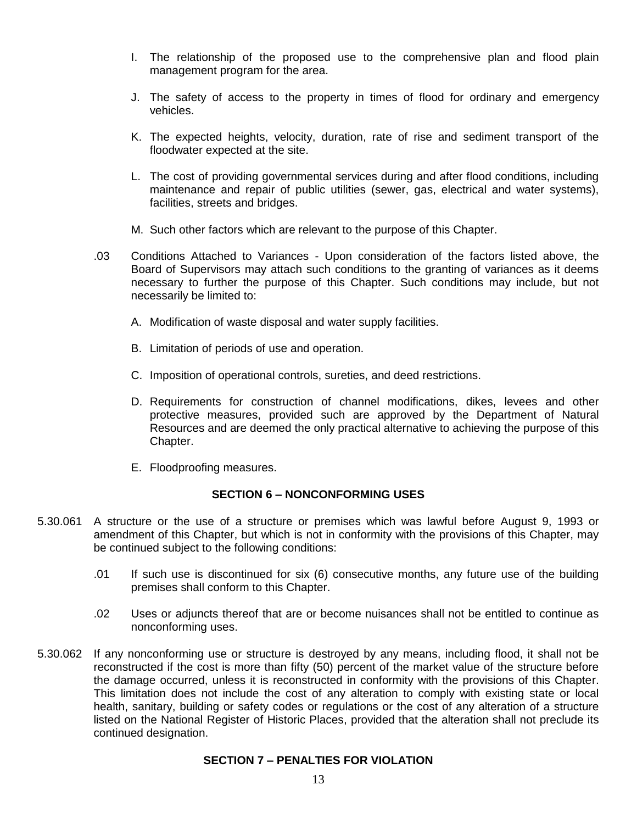- I. The relationship of the proposed use to the comprehensive plan and flood plain management program for the area.
- J. The safety of access to the property in times of flood for ordinary and emergency vehicles.
- K. The expected heights, velocity, duration, rate of rise and sediment transport of the floodwater expected at the site.
- L. The cost of providing governmental services during and after flood conditions, including maintenance and repair of public utilities (sewer, gas, electrical and water systems), facilities, streets and bridges.
- M. Such other factors which are relevant to the purpose of this Chapter.
- .03 Conditions Attached to Variances Upon consideration of the factors listed above, the Board of Supervisors may attach such conditions to the granting of variances as it deems necessary to further the purpose of this Chapter. Such conditions may include, but not necessarily be limited to:
	- A. Modification of waste disposal and water supply facilities.
	- B. Limitation of periods of use and operation.
	- C. Imposition of operational controls, sureties, and deed restrictions.
	- D. Requirements for construction of channel modifications, dikes, levees and other protective measures, provided such are approved by the Department of Natural Resources and are deemed the only practical alternative to achieving the purpose of this Chapter.
	- E. Floodproofing measures.

# **SECTION 6 – NONCONFORMING USES**

- 5.30.061 A structure or the use of a structure or premises which was lawful before August 9, 1993 or amendment of this Chapter, but which is not in conformity with the provisions of this Chapter, may be continued subject to the following conditions:
	- .01 If such use is discontinued for six (6) consecutive months, any future use of the building premises shall conform to this Chapter.
	- .02 Uses or adjuncts thereof that are or become nuisances shall not be entitled to continue as nonconforming uses.
- 5.30.062 If any nonconforming use or structure is destroyed by any means, including flood, it shall not be reconstructed if the cost is more than fifty (50) percent of the market value of the structure before the damage occurred, unless it is reconstructed in conformity with the provisions of this Chapter. This limitation does not include the cost of any alteration to comply with existing state or local health, sanitary, building or safety codes or regulations or the cost of any alteration of a structure listed on the National Register of Historic Places, provided that the alteration shall not preclude its continued designation.

#### **SECTION 7 – PENALTIES FOR VIOLATION**